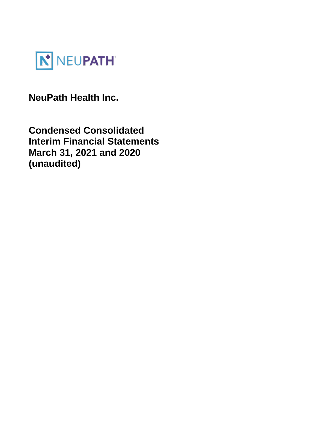

**NeuPath Health Inc.** 

**Condensed Consolidated Interim Financial Statements March 31, 2021 and 2020 (unaudited)**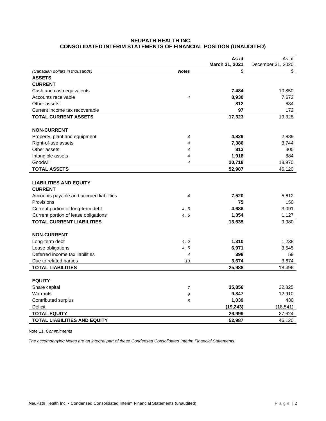# **NEUPATH HEALTH INC. CONSOLIDATED INTERIM STATEMENTS OF FINANCIAL POSITION (UNAUDITED)**

|                                          |                          | As at          | As at             |
|------------------------------------------|--------------------------|----------------|-------------------|
|                                          |                          | March 31, 2021 | December 31, 2020 |
| (Canadian dollars in thousands)          | <b>Notes</b>             | \$             | \$                |
| <b>ASSETS</b>                            |                          |                |                   |
| <b>CURRENT</b>                           |                          |                |                   |
| Cash and cash equivalents                |                          | 7,484          | 10,850            |
| Accounts receivable                      | $\overline{4}$           | 8,930          | 7,672             |
| Other assets                             |                          | 812            | 634               |
| Current income tax recoverable           |                          | 97             | 172               |
| <b>TOTAL CURRENT ASSETS</b>              |                          | 17,323         | 19,328            |
| <b>NON-CURRENT</b>                       |                          |                |                   |
| Property, plant and equipment            | $\overline{4}$           | 4,829          | 2,889             |
| Right-of-use assets                      | 4                        | 7,386          | 3,744             |
| Other assets                             | 4                        | 813            | 305               |
| Intangible assets                        | 4                        | 1,918          | 884               |
| Goodwill                                 | 4                        | 20,718         | 18,970            |
| <b>TOTAL ASSETS</b>                      |                          | 52,987         | 46,120            |
|                                          |                          |                |                   |
| <b>LIABILITIES AND EQUITY</b>            |                          |                |                   |
| <b>CURRENT</b>                           |                          |                |                   |
| Accounts payable and accrued liabilities | $\overline{4}$           | 7,520          | 5,612             |
| Provisions                               |                          | 75             | 150               |
| Current portion of long-term debt        | 4, 6                     | 4,686          | 3,091             |
| Current portion of lease obligations     | 4, 5                     | 1,354          | 1,127             |
| <b>TOTAL CURRENT LIABILITIES</b>         |                          | 13,635         | 9,980             |
|                                          |                          |                |                   |
| <b>NON-CURRENT</b>                       |                          |                |                   |
| Long-term debt                           | 4,6                      | 1,310          | 1,238             |
| Lease obligations                        | 4, 5                     | 6,971          | 3,545             |
| Deferred income tax liabilities          | $\overline{\mathcal{A}}$ | 398            | 59                |
| Due to related parties                   | 13                       | 3,674          | 3,674             |
| <b>TOTAL LIABILITIES</b>                 |                          | 25,988         | 18,496            |
|                                          |                          |                |                   |
| <b>EQUITY</b>                            |                          |                |                   |
| Share capital                            | $\overline{7}$           | 35,856         | 32,825            |
| Warrants                                 | 9                        | 9,347          | 12,910            |
| Contributed surplus                      | 8                        | 1,039          | 430               |
| Deficit                                  |                          | (19, 243)      | (18, 541)         |
| <b>TOTAL EQUITY</b>                      |                          | 26,999         | 27,624            |
| <b>TOTAL LIABILITIES AND EQUITY</b>      |                          | 52,987         | 46,120            |

Note 11, *Commitments*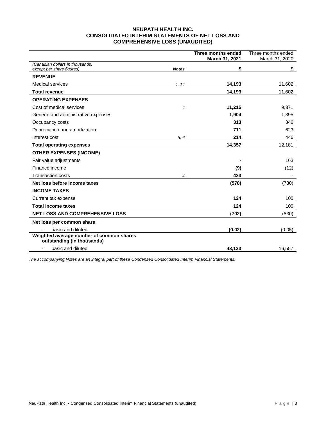### **NEUPATH HEALTH INC. CONSOLIDATED INTERIM STATEMENTS OF NET LOSS AND COMPREHENSIVE LOSS (UNAUDITED)**

|                                                                        |              | Three months ended<br>March 31, 2021 | Three months ended<br>March 31, 2020 |
|------------------------------------------------------------------------|--------------|--------------------------------------|--------------------------------------|
| (Canadian dollars in thousands.<br>except per share figures)           | <b>Notes</b> | \$                                   | \$                                   |
| <b>REVENUE</b>                                                         |              |                                      |                                      |
| <b>Medical services</b>                                                | 4, 14        | 14,193                               | 11,602                               |
| <b>Total revenue</b>                                                   |              | 14,193                               | 11,602                               |
| <b>OPERATING EXPENSES</b>                                              |              |                                      |                                      |
| Cost of medical services                                               | 4            | 11,215                               | 9,371                                |
| General and administrative expenses                                    |              | 1,904                                | 1,395                                |
| Occupancy costs                                                        |              | 313                                  | 346                                  |
| Depreciation and amortization                                          |              | 711                                  | 623                                  |
| Interest cost                                                          | 5, 6         | 214                                  | 446                                  |
| <b>Total operating expenses</b>                                        |              | 14,357                               | 12,181                               |
| <b>OTHER EXPENSES (INCOME)</b>                                         |              |                                      |                                      |
| Fair value adjustments                                                 |              |                                      | 163                                  |
| Finance income                                                         |              | (9)                                  | (12)                                 |
| <b>Transaction costs</b>                                               | 4            | 423                                  |                                      |
| Net loss before income taxes                                           |              | (578)                                | (730)                                |
| <b>INCOME TAXES</b>                                                    |              |                                      |                                      |
| Current tax expense                                                    |              | 124                                  | 100                                  |
| <b>Total income taxes</b>                                              |              | 124                                  | 100                                  |
| <b>NET LOSS AND COMPREHENSIVE LOSS</b>                                 |              | (702)                                | (830)                                |
| Net loss per common share                                              |              |                                      |                                      |
| basic and diluted                                                      |              | (0.02)                               | (0.05)                               |
| Weighted average number of common shares<br>outstanding (in thousands) |              |                                      |                                      |
| basic and diluted<br>$\overline{\phantom{a}}$                          |              | 43,133                               | 16,557                               |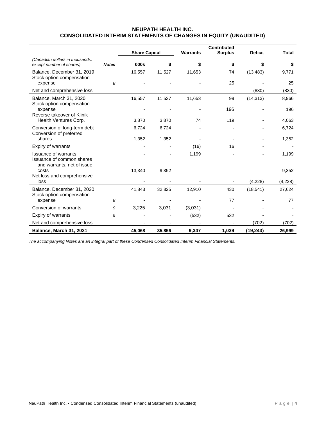|                                                                                        |              | <b>Share Capital</b> |        | <b>Warrants</b> | <b>Contributed</b><br><b>Surplus</b> | <b>Deficit</b> | <b>Total</b> |
|----------------------------------------------------------------------------------------|--------------|----------------------|--------|-----------------|--------------------------------------|----------------|--------------|
| (Canadian dollars in thousands,                                                        |              |                      |        |                 |                                      |                |              |
| except number of shares)                                                               | <b>Notes</b> | 000s                 | \$     | S               | \$                                   | \$             | \$           |
| Balance, December 31, 2019<br>Stock option compensation                                | 8            | 16,557               | 11,527 | 11,653          | 74<br>25                             | (13, 483)      | 9,771<br>25  |
| expense                                                                                |              |                      |        |                 |                                      |                |              |
| Net and comprehensive loss                                                             |              |                      |        |                 |                                      | (830)          | (830)        |
| Balance, March 31, 2020<br>Stock option compensation                                   |              | 16,557               | 11,527 | 11,653          | 99                                   | (14, 313)      | 8,966        |
| expense<br>Reverse takeover of Klinik                                                  |              |                      |        |                 | 196                                  |                | 196          |
| Health Ventures Corp.                                                                  |              | 3,870                | 3,870  | 74              | 119                                  |                | 4,063        |
| Conversion of long-term debt<br>Conversion of preferred                                |              | 6,724                | 6,724  |                 |                                      |                | 6,724        |
| shares                                                                                 |              | 1,352                | 1,352  |                 |                                      |                | 1,352        |
| Expiry of warrants                                                                     |              |                      |        | (16)            | 16                                   |                |              |
| <b>Issuance of warrants</b><br>Issuance of common shares<br>and warrants, net of issue |              |                      |        | 1,199           |                                      |                | 1,199        |
| costs                                                                                  |              | 13,340               | 9,352  |                 |                                      |                | 9,352        |
| Net loss and comprehensive<br>loss                                                     |              |                      |        |                 |                                      | (4,228)        | (4,228)      |
| Balance, December 31, 2020<br>Stock option compensation                                |              | 41,843               | 32,825 | 12,910          | 430                                  | (18, 541)      | 27,624       |
| expense                                                                                | 8            |                      |        |                 | 77                                   |                | 77           |
| Conversion of warrants                                                                 | 9            | 3,225                | 3,031  | (3,031)         |                                      |                |              |
| Expiry of warrants                                                                     | 9            |                      |        | (532)           | 532                                  |                |              |
| Net and comprehensive loss                                                             |              |                      |        |                 |                                      | (702)          | (702)        |
| Balance, March 31, 2021                                                                |              | 45,068               | 35,856 | 9,347           | 1,039                                | (19, 243)      | 26,999       |

## **NEUPATH HEALTH INC. CONSOLIDATED INTERIM STATEMENTS OF CHANGES IN EQUITY (UNAUDITED)**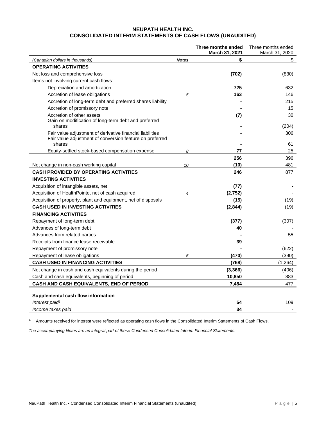# **NEUPATH HEALTH INC. CONSOLIDATED INTERIM STATEMENTS OF CASH FLOWS (UNAUDITED)**

|                                                                    |              | Three months ended | Three months ended |
|--------------------------------------------------------------------|--------------|--------------------|--------------------|
|                                                                    |              | March 31, 2021     | March 31, 2020     |
| (Canadian dollars in thousands)                                    | <b>Notes</b> | \$                 | \$                 |
| <b>OPERATING ACTIVITIES</b>                                        |              |                    |                    |
| Net loss and comprehensive loss                                    |              | (702)              | (830)              |
| Items not involving current cash flows:                            |              |                    |                    |
| Depreciation and amortization                                      |              | 725                | 632                |
| Accretion of lease obligations                                     | 5            | 163                | 146                |
| Accretion of long-term debt and preferred shares liability         |              |                    | 215                |
| Accretion of promissory note                                       |              |                    | 15                 |
| Accretion of other assets                                          |              | (7)                | 30                 |
| Gain on modification of long-term debt and preferred               |              |                    |                    |
| shares                                                             |              |                    | (204)              |
| Fair value adjustment of derivative financial liabilities          |              |                    | 306                |
| Fair value adjustment of conversion feature on preferred<br>shares |              |                    | 61                 |
| Equity-settled stock-based compensation expense                    | 8            | 77                 | 25                 |
|                                                                    |              | 256                | 396                |
| Net change in non-cash working capital                             | 10           | (10)               | 481                |
| <b>CASH PROVIDED BY OPERATING ACTIVITIES</b>                       |              | 246                | 877                |
| <b>INVESTING ACTIVITIES</b>                                        |              |                    |                    |
| Acquisition of intangible assets, net                              |              | (77)               |                    |
| Acquisition of HealthPointe, net of cash acquired                  | 4            | (2, 752)           |                    |
| Acquisition of property, plant and equipment, net of disposals     |              | (15)               | (19)               |
| <b>CASH USED IN INVESTING ACTIVITIES</b>                           |              | (2,844)            | (19)               |
| <b>FINANCING ACTIVITIES</b>                                        |              |                    |                    |
| Repayment of long-term debt                                        |              | (377)              | (307)              |
| Advances of long-term debt                                         |              | 40                 |                    |
| Advances from related parties                                      |              |                    | 55                 |
| Receipts from finance lease receivable                             |              | 39                 |                    |
| Repayment of promissory note                                       |              |                    | (622)              |
| Repayment of lease obligations                                     | 5            | (470)              | (390)              |
| <b>CASH USED IN FINANCING ACTIVITIES</b>                           |              | (768)              | (1, 264)           |
| Net change in cash and cash equivalents during the period          |              | (3, 366)           | (406)              |
| Cash and cash equivalents, beginning of period                     |              | 10,850             | 883                |
| CASH AND CASH EQUIVALENTS, END OF PERIOD                           |              | 7.484              | 477                |
|                                                                    |              |                    |                    |
| Supplemental cash flow information                                 |              |                    |                    |
| Interest paid <sup>1</sup>                                         |              | 54                 | 109                |
| Income taxes paid                                                  |              | 34                 |                    |

<sup>1.</sup> Amounts received for interest were reflected as operating cash flows in the Consolidated Interim Statements of Cash Flows.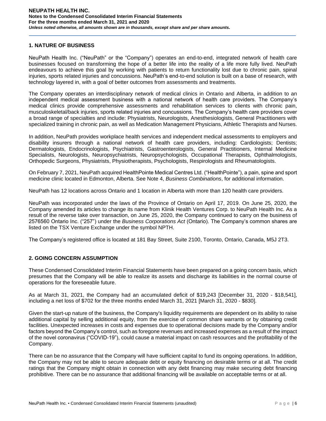## **1. NATURE OF BUSINESS**

NeuPath Health Inc. ("NeuPath" or the "Company") operates an end-to-end, integrated network of health care businesses focused on transforming the hope of a better life into the reality of a life more fully lived. NeuPath endeavours to achieve this goal by working with patients to return functionality lost due to chronic pain, spinal injuries, sports related injuries and concussions. NeuPath's end-to-end solution is built on a base of research, with technology layered in, with a goal of better outcomes from assessments and treatments.

The Company operates an interdisciplinary network of medical clinics in Ontario and Alberta, in addition to an independent medical assessment business with a national network of health care providers. The Company's medical clinics provide comprehensive assessments and rehabilitation services to clients with chronic pain, musculoskeletal/back injuries, sports related injuries and concussions. The Company's health care providers cover a broad range of specialties and include: Physiatrists, Neurologists, Anesthesiologists, General Practitioners with specialized training in chronic pain, as well as Medication Management Physicians, Athletic Therapists and Nurses.

In addition, NeuPath provides workplace health services and independent medical assessments to employers and disability insurers through a national network of health care providers, including: Cardiologists; Dentists; Dermatologists, Endocrinologists, Psychiatrists, Gastroenterologists, General Practitioners, Internal Medicine Specialists, Neurologists, Neuropsychiatrists, Neuropsychologists, Occupational Therapists, Ophthalmologists, Orthopedic Surgeons, Physiatrists, Physiotherapists, Psychologists, Respirologists and Rheumatologists.

On February 7, 2021, NeuPath acquired HealthPointe Medical Centres Ltd. ("HealthPointe"), a pain, spine and sport medicine clinic located in Edmonton, Alberta. See Note 4, *Business Combinations*, for additional information.

NeuPath has 12 locations across Ontario and 1 location in Alberta with more than 120 health care providers.

NeuPath was incorporated under the laws of the Province of Ontario on April 17, 2019. On June 25, 2020, the Company amended its articles to change its name from Klinik Health Ventures Corp. to NeuPath Health Inc. As a result of the reverse take over transaction, on June 25, 2020, the Company continued to carry on the business of 2576560 Ontario Inc. ("257") under the *Business Corporations Act* (Ontario). The Company's common shares are listed on the TSX Venture Exchange under the symbol NPTH.

The Company's registered office is located at 181 Bay Street, Suite 2100, Toronto, Ontario, Canada, M5J 2T3.

# **2. GOING CONCERN ASSUMPTION**

These Condensed Consolidated Interim Financial Statements have been prepared on a going concern basis, which presumes that the Company will be able to realize its assets and discharge its liabilities in the normal course of operations for the foreseeable future.

As at March 31, 2021, the Company had an accumulated deficit of \$19,243 [December 31, 2020 - \$18,541], including a net loss of \$702 for the three months ended March 31, 2021 [March 31, 2020 - \$830].

Given the start-up nature of the business, the Company's liquidity requirements are dependent on its ability to raise additional capital by selling additional equity, from the exercise of common share warrants or by obtaining credit facilities. Unexpected increases in costs and expenses due to operational decisions made by the Company and/or factors beyond the Company's control, such as foregone revenues and increased expenses as a result of the impact of the novel coronavirus ("COVID-19"), could cause a material impact on cash resources and the profitability of the Company.

There can be no assurance that the Company will have sufficient capital to fund its ongoing operations. In addition, the Company may not be able to secure adequate debt or equity financing on desirable terms or at all. The credit ratings that the Company might obtain in connection with any debt financing may make securing debt financing prohibitive. There can be no assurance that additional financing will be available on acceptable terms or at all.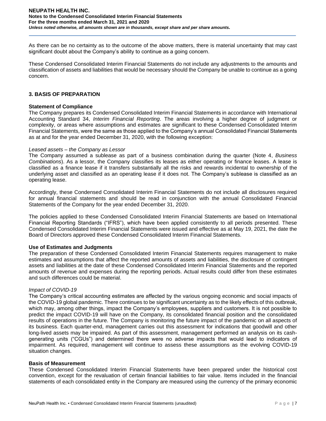#### **NEUPATH HEALTH INC. Notes to the Condensed Consolidated Interim Financial Statements For the three months ended March 31, 2021 and 2020** *Unless noted otherwise, all amounts shown are in thousands, except share and per share amounts.*

As there can be no certainty as to the outcome of the above matters, there is material uncertainty that may cast significant doubt about the Company's ability to continue as a going concern.

These Condensed Consolidated Interim Financial Statements do not include any adjustments to the amounts and classification of assets and liabilities that would be necessary should the Company be unable to continue as a going concern.

### **3. BASIS OF PREPARATION**

### **Statement of Compliance**

The Company prepares its Condensed Consolidated Interim Financial Statements in accordance with International Accounting Standard 34, *Interim Financial Reporting*. The areas involving a higher degree of judgment or complexity, or areas where assumptions and estimates are significant to these Condensed Consolidated Interim Financial Statements, were the same as those applied to the Company's annual Consolidated Financial Statements as at and for the year ended December 31, 2020, with the following exception:

### *Leased assets – the Company as Lessor*

The Company assumed a sublease as part of a business combination during the quarter (Note 4, *Business Combinations*). As a lessor, the Company classifies its leases as either operating or finance leases. A lease is classified as a finance lease if it transfers substantially all the risks and rewards incidental to ownership of the underlying asset and classified as an operating lease if it does not. The Company's sublease is classified as an operating lease.

Accordingly, these Condensed Consolidated Interim Financial Statements do not include all disclosures required for annual financial statements and should be read in conjunction with the annual Consolidated Financial Statements of the Company for the year ended December 31, 2020.

The policies applied to these Condensed Consolidated Interim Financial Statements are based on International Financial Reporting Standards ("IFRS"), which have been applied consistently to all periods presented. These Condensed Consolidated Interim Financial Statements were issued and effective as at May 19, 2021, the date the Board of Directors approved these Condensed Consolidated Interim Financial Statements.

### **Use of Estimates and Judgments**

The preparation of these Condensed Consolidated Interim Financial Statements requires management to make estimates and assumptions that affect the reported amounts of assets and liabilities, the disclosure of contingent assets and liabilities at the date of these Condensed Consolidated Interim Financial Statements and the reported amounts of revenue and expenses during the reporting periods. Actual results could differ from these estimates and such differences could be material.

### *Impact of COVID-19*

The Company's critical accounting estimates are affected by the various ongoing economic and social impacts of the COVID-19 global pandemic. There continues to be significant uncertainty as to the likely effects of this outbreak, which may, among other things, impact the Company's employees, suppliers and customers. It is not possible to predict the impact COVID-19 will have on the Company, its consolidated financial position and the consolidated results of operations in the future. The Company is monitoring the future impact of the pandemic on all aspects of its business. Each quarter-end, management carries out this assessment for indications that goodwill and other long-lived assets may be impaired. As part of this assessment, management performed an analysis on its cashgenerating units ("CGUs") and determined there were no adverse impacts that would lead to indicators of impairment. As required, management will continue to assess these assumptions as the evolving COVID-19 situation changes.

#### **Basis of Measurement**

These Condensed Consolidated Interim Financial Statements have been prepared under the historical cost convention, except for the revaluation of certain financial liabilities to fair value. Items included in the financial statements of each consolidated entity in the Company are measured using the currency of the primary economic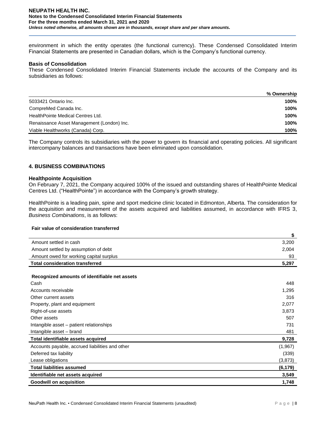#### **NEUPATH HEALTH INC. Notes to the Condensed Consolidated Interim Financial Statements For the three months ended March 31, 2021 and 2020** *Unless noted otherwise, all amounts shown are in thousands, except share and per share amounts.*

environment in which the entity operates (the functional currency). These Condensed Consolidated Interim Financial Statements are presented in Canadian dollars, which is the Company's functional currency.

### **Basis of Consolidation**

These Condensed Consolidated Interim Financial Statements include the accounts of the Company and its subsidiaries as follows:

|                                            | % Ownership |
|--------------------------------------------|-------------|
| 5033421 Ontario Inc.                       | 100%        |
| CompreMed Canada Inc.                      | 100%        |
| HealthPointe Medical Centres Ltd.          | 100%        |
| Renaissance Asset Management (London) Inc. | 100%        |
| Viable Healthworks (Canada) Corp.          | 100%        |

The Company controls its subsidiaries with the power to govern its financial and operating policies. All significant intercompany balances and transactions have been eliminated upon consolidation.

## **4. BUSINESS COMBINATIONS**

### **Healthpointe Acquisition**

On February 7, 2021, the Company acquired 100% of the issued and outstanding shares of HealthPointe Medical Centres Ltd. ("HealthPointe") in accordance with the Company's growth strategy.

HealthPointe is a leading pain, spine and sport medicine clinic located in Edmonton, Alberta. The consideration for the acquisition and measurement of the assets acquired and liabilities assumed, in accordance with IFRS 3, *Business Combinations*, is as follows:

#### **Fair value of consideration transferred**

|                                                 | \$       |
|-------------------------------------------------|----------|
| Amount settled in cash                          | 3,200    |
| Amount settled by assumption of debt            | 2,004    |
| Amount owed for working capital surplus         | 93       |
| <b>Total consideration transferred</b>          | 5,297    |
|                                                 |          |
| Recognized amounts of identifiable net assets   |          |
| Cash                                            | 448      |
| Accounts receivable                             | 1,295    |
| Other current assets                            | 316      |
| Property, plant and equipment                   | 2,077    |
| Right-of-use assets                             | 3,873    |
| Other assets                                    | 507      |
| Intangible asset – patient relationships        | 731      |
| Intangible asset - brand                        | 481      |
| Total identifiable assets acquired              | 9,728    |
| Accounts payable, accrued liabilities and other | (1, 967) |
| Deferred tax liability                          | (339)    |
| Lease obligations                               | (3,873)  |
| <b>Total liabilities assumed</b>                | (6, 179) |
| Identifiable net assets acquired                | 3,549    |
| <b>Goodwill on acquisition</b>                  | 1,748    |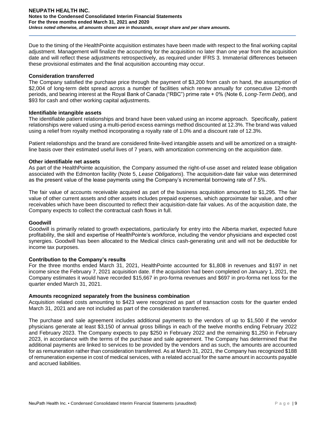Due to the timing of the HealthPointe acquisition estimates have been made with respect to the final working capital adjustment. Management will finalize the accounting for the acquisition no later than one year from the acquisition date and will reflect these adjustments retrospectively, as required under IFRS 3. Immaterial differences between these provisional estimates and the final acquisition accounting may occur.

### **Consideration transferred**

The Company satisfied the purchase price through the payment of \$3,200 from cash on hand, the assumption of \$2,004 of long-term debt spread across a number of facilities which renew annually for consecutive 12-month periods, and bearing interest at the Royal Bank of Canada ("RBC") prime rate + 0% (Note 6, *Long-Term Debt*), and \$93 for cash and other working capital adjustments.

## **Identifiable intangible assets**

The identifiable patient relationships and brand have been valued using an income approach. Specifically, patient relationships were valued using a multi-period excess earnings method discounted at 12.3%. The brand was valued using a relief from royalty method incorporating a royalty rate of 1.0% and a discount rate of 12.3%.

Patient relationships and the brand are considered finite-lived intangible assets and will be amortized on a straightline basis over their estimated useful lives of 7 years, with amortization commencing on the acquisition date.

## **Other identifiable net assets**

As part of the HealthPointe acquisition, the Company assumed the right-of-use asset and related lease obligation associated with the Edmonton facility (Note 5, *Lease Obligations*). The acquisition-date fair value was determined as the present value of the lease payments using the Company's incremental borrowing rate of 7.5%.

The fair value of accounts receivable acquired as part of the business acquisition amounted to \$1,295. The fair value of other current assets and other assets includes prepaid expenses, which approximate fair value, and other receivables which have been discounted to reflect their acquisition-date fair values. As of the acquisition date, the Company expects to collect the contractual cash flows in full.

### **Goodwill**

Goodwill is primarily related to growth expectations, particularly for entry into the Alberta market, expected future profitability, the skill and expertise of HealthPointe's workforce, including the vendor physicians and expected cost synergies. Goodwill has been allocated to the Medical clinics cash-generating unit and will not be deductible for income tax purposes.

### **Contribution to the Company's results**

For the three months ended March 31, 2021, HealthPointe accounted for \$1,808 in revenues and \$197 in net income since the February 7, 2021 acquisition date. If the acquisition had been completed on January 1, 2021, the Company estimates it would have recorded \$15,667 in pro-forma revenues and \$697 in pro-forma net loss for the quarter ended March 31, 2021.

### **Amounts recognized separately from the business combination**

Acquisition related costs amounting to \$423 were recognized as part of transaction costs for the quarter ended March 31, 2021 and are not included as part of the consideration transferred.

The purchase and sale agreement includes additional payments to the vendors of up to \$1,500 if the vendor physicians generate at least \$3,150 of annual gross billings in each of the twelve months ending February 2022 and February 2023. The Company expects to pay \$250 in February 2022 and the remaining \$1,250 in February 2023, in accordance with the terms of the purchase and sale agreement. The Company has determined that the additional payments are linked to services to be provided by the vendors and as such, the amounts are accounted for as remuneration rather than consideration transferred. As at March 31, 2021, the Company has recognized \$188 of remuneration expense in cost of medical services, with a related accrual for the same amount in accounts payable and accrued liabilities.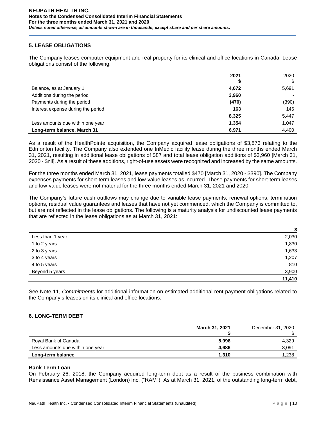## **5. LEASE OBLIGATIONS**

The Company leases computer equipment and real property for its clinical and office locations in Canada. Lease obligations consist of the following:

|                                    | 2021  | 2020  |
|------------------------------------|-------|-------|
|                                    |       |       |
| Balance, as at January 1           | 4,672 | 5,691 |
| Additions during the period        | 3,960 |       |
| Payments during the period         | (470) | (390) |
| Interest expense during the period | 163   | 146   |
|                                    | 8,325 | 5,447 |
| Less amounts due within one year   | 1,354 | 1,047 |
| Long-term balance, March 31        | 6,971 | 4,400 |

As a result of the HealthPointe acquisition, the Company acquired lease obligations of \$3,873 relating to the Edmonton facility. The Company also extended one InMedic facility lease during the three months ended March 31, 2021, resulting in additional lease obligations of \$87 and total lease obligation additions of \$3,960 [March 31, 2020 - \$nil]. As a result of these additions, right-of-use assets were recognized and increased by the same amounts.

For the three months ended March 31, 2021, lease payments totalled \$470 [March 31, 2020 - \$390]. The Company expenses payments for short-term leases and low-value leases as incurred. These payments for short-term leases and low-value leases were not material for the three months ended March 31, 2021 and 2020.

The Company's future cash outflows may change due to variable lease payments, renewal options, termination options, residual value guarantees and leases that have not yet commenced, which the Company is committed to, but are not reflected in the lease obligations. The following is a maturity analysis for undiscounted lease payments that are reflected in the lease obligations as at March 31, 2021:

|                  | \$     |
|------------------|--------|
| Less than 1 year | 2,030  |
| 1 to 2 years     | 1,830  |
| 2 to 3 years     | 1,633  |
| 3 to 4 years     | 1,207  |
| 4 to 5 years     | 810    |
| Beyond 5 years   | 3,900  |
|                  | 11,410 |

See Note 11, *Commitments* for additional information on estimated additional rent payment obligations related to the Company's leases on its clinical and office locations.

### **6. LONG-TERM DEBT**

|                                  | <b>March 31, 2021</b> | December 31, 2020 |
|----------------------------------|-----------------------|-------------------|
| Royal Bank of Canada             | 5,996                 | 4.329             |
| Less amounts due within one year | 4.686                 | 3,091             |
| Long-term balance                | 1.310                 | 1.238             |

### **Bank Term Loan**

On February 26, 2018, the Company acquired long-term debt as a result of the business combination with Renaissance Asset Management (London) Inc. ("RAM"). As at March 31, 2021, of the outstanding long-term debt,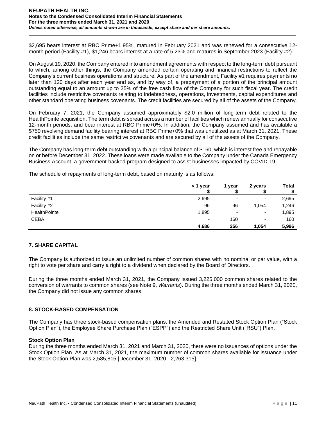#### **NEUPATH HEALTH INC. Notes to the Condensed Consolidated Interim Financial Statements For the three months ended March 31, 2021 and 2020** *Unless noted otherwise, all amounts shown are in thousands, except share and per share amounts.*

\$2,695 bears interest at RBC Prime+1.95%, matured in February 2021 and was renewed for a consecutive 12 month period (Facility #1), \$1,246 bears interest at a rate of 5.23% and matures in September 2023 (Facility #2).

On August 19, 2020, the Company entered into amendment agreements with respect to the long-term debt pursuant to which, among other things, the Company amended certain operating and financial restrictions to reflect the Company's current business operations and structure. As part of the amendment, Facility #1 requires payments no later than 120 days after each year end as, and by way of, a prepayment of a portion of the principal amount outstanding equal to an amount up to 25% of the free cash flow of the Company for such fiscal year. The credit facilities include restrictive covenants relating to indebtedness, operations, investments, capital expenditures and other standard operating business covenants. The credit facilities are secured by all of the assets of the Company.

On February 7, 2021, the Company assumed approximately \$2.0 million of long-term debt related to the HealthPointe acquisition. The term debt is spread across a number of facilities which renew annually for consecutive 12-month periods, and bear interest at RBC Prime+0%. In addition, the Company assumed and has available a \$750 revolving demand facility bearing interest at RBC Prime+0% that was unutilized as at March 31, 2021. These credit facilities include the same restrictive covenants and are secured by all of the assets of the Company.

The Company has long-term debt outstanding with a principal balance of \$160, which is interest free and repayable on or before December 31, 2022. These loans were made available to the Company under the Canada Emergency Business Account, a government-backed program designed to assist businesses impacted by COVID-19.

The schedule of repayments of long-term debt, based on maturity is as follows:

|              | < 1 year                 | 1 year | 2 years                  | <b>Total</b> |
|--------------|--------------------------|--------|--------------------------|--------------|
|              |                          |        |                          |              |
| Facility #1  | 2,695                    | -      | ۰                        | 2,695        |
| Facility #2  | 96                       | 96     | 1,054                    | 1,246        |
| HealthPointe | 1,895                    | -      | $\overline{\phantom{0}}$ | 1,895        |
| <b>CEBA</b>  | $\overline{\phantom{0}}$ | 160    | ۰                        | 160          |
|              | 4,686                    | 256    | 1,054                    | 5,996        |

# **7. SHARE CAPITAL**

The Company is authorized to issue an unlimited number of common shares with no nominal or par value, with a right to vote per share and carry a right to a dividend when declared by the Board of Directors.

During the three months ended March 31, 2021, the Company issued 3,225,000 common shares related to the conversion of warrants to common shares (see Note 9, *Warrants*). During the three months ended March 31, 2020, the Company did not issue any common shares.

### **8. STOCK-BASED COMPENSATION**

The Company has three stock-based compensation plans: the Amended and Restated Stock Option Plan ("Stock Option Plan"), the Employee Share Purchase Plan ("ESPP") and the Restricted Share Unit ("RSU") Plan.

## **Stock Option Plan**

During the three months ended March 31, 2021 and March 31, 2020, there were no issuances of options under the Stock Option Plan. As at March 31, 2021, the maximum number of common shares available for issuance under the Stock Option Plan was 2,585,815 [December 31, 2020 - 2,263,315].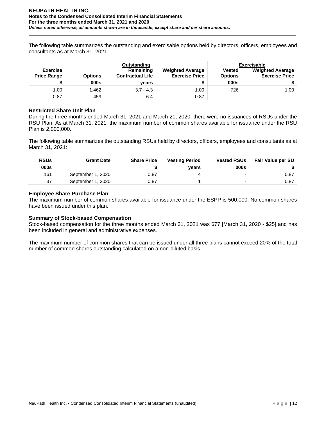The following table summarizes the outstanding and exercisable options held by directors, officers, employees and consultants as at March 31, 2021:

|                                       |                | Outstanding                          |                                                  |                                 | <b>Exercisable</b>                               |
|---------------------------------------|----------------|--------------------------------------|--------------------------------------------------|---------------------------------|--------------------------------------------------|
| <b>Exercise</b><br><b>Price Range</b> | <b>Options</b> | Remaining<br><b>Contractual Life</b> | <b>Weighted Average</b><br><b>Exercise Price</b> | <b>Vested</b><br><b>Options</b> | <b>Weighted Average</b><br><b>Exercise Price</b> |
|                                       | 000s           | vears                                |                                                  | 000s                            |                                                  |
|                                       | 1.462          | $3.7 - 4.3$                          | 1.00                                             | 726                             | 1.00                                             |
| 1.00                                  |                |                                      |                                                  |                                 |                                                  |

### **Restricted Share Unit Plan**

During the three months ended March 31, 2021 and March 21, 2020, there were no issuances of RSUs under the RSU Plan. As at March 31, 2021, the maximum number of common shares available for issuance under the RSU Plan is 2,000,000.

The following table summarizes the outstanding RSUs held by directors, officers, employees and consultants as at March 31, 2021:

| <b>RSUs</b> | <b>Grant Date</b> | <b>Share Price</b> | <b>Vesting Period</b> | <b>Vested RSUs</b>       | <b>Fair Value per SU</b> |
|-------------|-------------------|--------------------|-----------------------|--------------------------|--------------------------|
| 000s        |                   |                    | vears                 | 000s                     |                          |
| 161         | September 1, 2020 | 0.87               |                       | $\overline{\phantom{0}}$ | 0.87                     |
| 37          | September 1, 2020 | 0.87               |                       |                          | 0.87                     |

## **Employee Share Purchase Plan**

The maximum number of common shares available for issuance under the ESPP is 500,000. No common shares have been issued under this plan.

### **Summary of Stock-based Compensation**

Stock-based compensation for the three months ended March 31, 2021 was \$77 [March 31, 2020 - \$25] and has been included in general and administrative expenses.

The maximum number of common shares that can be issued under all three plans cannot exceed 20% of the total number of common shares outstanding calculated on a non-diluted basis.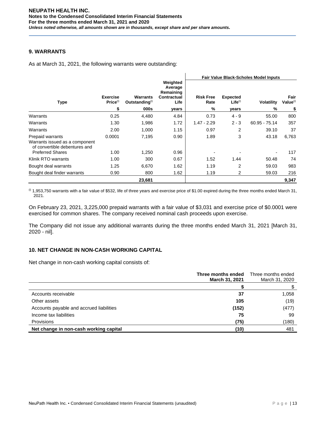# **9. WARRANTS**

As at March 31, 2021, the following warrants were outstanding:

|                                                                                     |                                         |                                               |                                                         | <b>Fair Value Black-Scholes Model Inputs</b> |                                 |                   |                              |
|-------------------------------------------------------------------------------------|-----------------------------------------|-----------------------------------------------|---------------------------------------------------------|----------------------------------------------|---------------------------------|-------------------|------------------------------|
| <b>Type</b>                                                                         | <b>Exercise</b><br>Price <sup>(i)</sup> | <b>Warrants</b><br>Outstanding <sup>(i)</sup> | Weighted<br>Average<br>Remaining<br>Contractual<br>Life | <b>Risk Free</b><br>Rate                     | <b>Expected</b><br>$Life^{(i)}$ | <b>Volatility</b> | Fair<br>Value <sup>(i)</sup> |
|                                                                                     | \$                                      | 000s                                          | years                                                   | %                                            | years                           | %                 | \$                           |
| Warrants                                                                            | 0.25                                    | 4,480                                         | 4.84                                                    | 0.73                                         | $4 - 9$                         | 55.00             | 800                          |
| Warrants                                                                            | 1.30                                    | 1,986                                         | 1.72                                                    | $1.47 - 2.29$                                | $2 - 3$                         | $60.95 - 75.14$   | 357                          |
| Warrants                                                                            | 2.00                                    | 1,000                                         | 1.15                                                    | 0.97                                         | 2                               | 39.10             | 37                           |
| Prepaid warrants<br>Warrants issued as a component<br>of convertible debentures and | 0.0001                                  | 7,195                                         | 0.90                                                    | 1.89                                         | 3                               | 43.18             | 6,763                        |
| <b>Preferred Shares</b>                                                             | 1.00                                    | 1,250                                         | 0.96                                                    |                                              |                                 |                   | 117                          |
| Klinik RTO warrants                                                                 | 1.00                                    | 300                                           | 0.67                                                    | 1.52                                         | 1.44                            | 50.48             | 74                           |
| Bought deal warrants                                                                | 1.25                                    | 6,670                                         | 1.62                                                    | 1.19                                         | $\overline{2}$                  | 59.03             | 983                          |
| Bought deal finder warrants                                                         | 0.90                                    | 800                                           | 1.62                                                    | 1.19                                         | $\overline{2}$                  | 59.03             | 216                          |
|                                                                                     |                                         | 23,681                                        |                                                         |                                              |                                 |                   | 9,347                        |

 $^{(0)}$  1,953,750 warrants with a fair value of \$532, life of three years and exercise price of \$1.00 expired during the three months ended March 31, 2021.

On February 23, 2021, 3,225,000 prepaid warrants with a fair value of \$3,031 and exercise price of \$0.0001 were exercised for common shares. The company received nominal cash proceeds upon exercise.

The Company did not issue any additional warrants during the three months ended March 31, 2021 [March 31, 2020 - nil].

# **10. NET CHANGE IN NON-CASH WORKING CAPITAL**

Net change in non-cash working capital consists of:

|                                          | Three months ended<br>March 31, 2021 | Three months ended<br>March 31, 2020 |
|------------------------------------------|--------------------------------------|--------------------------------------|
|                                          |                                      |                                      |
| Accounts receivable                      | 37                                   | 1,058                                |
| Other assets                             | 105                                  | (19)                                 |
| Accounts payable and accrued liabilities | (152)                                | (477)                                |
| Income tax liabilities                   | 75                                   | 99                                   |
| Provisions                               | (75)                                 | (180)                                |
| Net change in non-cash working capital   | (10)                                 | 481                                  |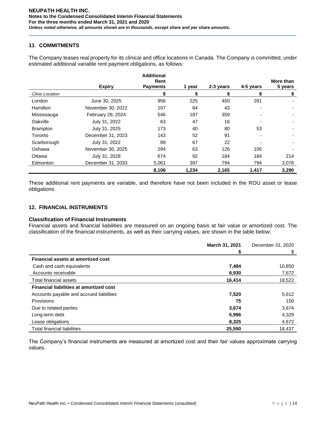## **11**. **COMMITMENTS**

The Company leases real property for its clinical and office locations in Canada. The Company is committed, under estimated additional variable rent payment obligations, as follows:

|                 |                   | <b>Additional</b>       |        |           |           |                      |
|-----------------|-------------------|-------------------------|--------|-----------|-----------|----------------------|
|                 | <b>Expiry</b>     | Rent<br><b>Payments</b> | 1 year | 2-3 years | 4-5 years | More than<br>5 years |
| Clinic Location |                   | \$                      | \$     | \$        | \$        | \$                   |
| London          | June 30, 2025     | 956                     | 225    | 450       | 281       |                      |
| <b>Hamilton</b> | November 30, 2022 | 107                     | 64     | 43        |           |                      |
| Mississauga     | February 28, 2024 | 546                     | 187    | 359       |           |                      |
| Oakville        | July 31, 2022     | 63                      | 47     | 16        |           |                      |
| <b>Brampton</b> | July 31, 2025     | 173                     | 40     | 80        | 53        |                      |
| Toronto         | December 31, 2023 | 143                     | 52     | 91        |           |                      |
| Scarborough     | July 31, 2022     | 89                      | 67     | 22        |           |                      |
| Oshawa          | November 30, 2025 | 294                     | 63     | 126       | 105       |                      |
| Ottawa          | July 31, 2028     | 674                     | 92     | 184       | 184       | 214                  |
| Edmonton        | December 31, 2033 | 5.061                   | 397    | 794       | 794       | 3,076                |
|                 |                   | 8,106                   | 1,234  | 2,165     | 1,417     | 3,290                |

These additional rent payments are variable, and therefore have not been included in the ROU asset or lease obligations.

## **12. FINANCIAL INSTRUMENTS**

## **Classification of Financial Instruments**

Financial assets and financial liabilities are measured on an ongoing basis at fair value or amortized cost. The classification of the financial instruments, as well as their carrying values, are shown in the table below:

|                                                | March 31, 2021 | December 31, 2020 |
|------------------------------------------------|----------------|-------------------|
|                                                | S              | \$                |
| <b>Financial assets at amortized cost</b>      |                |                   |
| Cash and cash equivalents                      | 7,484          | 10,850            |
| Accounts receivable                            | 8,930          | 7,672             |
| Total financial assets                         | 16,414         | 18,522            |
| <b>Financial liabilities at amortized cost</b> |                |                   |
| Accounts payable and accrued liabilities       | 7,520          | 5,612             |
| <b>Provisions</b>                              | 75             | 150               |
| Due to related parties                         | 3,674          | 3,674             |
| Long-term debt                                 | 5,996          | 4,329             |
| Lease obligations                              | 8,325          | 4,672             |
| <b>Total financial liabilities</b>             | 25,590         | 18.437            |

The Company's financial instruments are measured at amortized cost and their fair values approximate carrying values.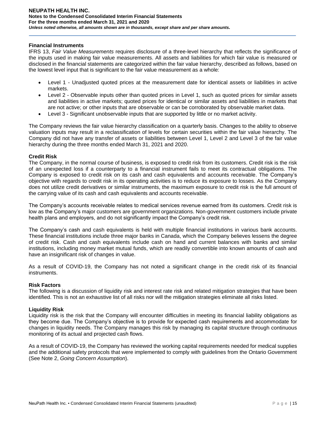## **Financial Instruments**

IFRS 13, *Fair Value Measurements* requires disclosure of a three-level hierarchy that reflects the significance of the inputs used in making fair value measurements. All assets and liabilities for which fair value is measured or disclosed in the financial statements are categorized within the fair value hierarchy, described as follows, based on the lowest level input that is significant to the fair value measurement as a whole:

- Level 1 Unadjusted quoted prices at the measurement date for identical assets or liabilities in active markets.
- Level 2 Observable inputs other than quoted prices in Level 1, such as quoted prices for similar assets and liabilities in active markets; quoted prices for identical or similar assets and liabilities in markets that are not active; or other inputs that are observable or can be corroborated by observable market data.
- Level 3 Significant unobservable inputs that are supported by little or no market activity.

The Company reviews the fair value hierarchy classification on a quarterly basis. Changes to the ability to observe valuation inputs may result in a reclassification of levels for certain securities within the fair value hierarchy. The Company did not have any transfer of assets or liabilities between Level 1, Level 2 and Level 3 of the fair value hierarchy during the three months ended March 31, 2021 and 2020.

## **Credit Risk**

The Company, in the normal course of business, is exposed to credit risk from its customers. Credit risk is the risk of an unexpected loss if a counterparty to a financial instrument fails to meet its contractual obligations. The Company is exposed to credit risk on its cash and cash equivalents and accounts receivable. The Company's objective with regards to credit risk in its operating activities is to reduce its exposure to losses. As the Company does not utilize credit derivatives or similar instruments, the maximum exposure to credit risk is the full amount of the carrying value of its cash and cash equivalents and accounts receivable.

The Company's accounts receivable relates to medical services revenue earned from its customers. Credit risk is low as the Company's major customers are government organizations. Non-government customers include private health plans and employers, and do not significantly impact the Company's credit risk.

The Company's cash and cash equivalents is held with multiple financial institutions in various bank accounts. These financial institutions include three major banks in Canada, which the Company believes lessens the degree of credit risk. Cash and cash equivalents include cash on hand and current balances with banks and similar institutions, including money market mutual funds, which are readily convertible into known amounts of cash and have an insignificant risk of changes in value.

As a result of COVID-19, the Company has not noted a significant change in the credit risk of its financial instruments.

### **Risk Factors**

The following is a discussion of liquidity risk and interest rate risk and related mitigation strategies that have been identified. This is not an exhaustive list of all risks nor will the mitigation strategies eliminate all risks listed.

### **Liquidity Risk**

Liquidity risk is the risk that the Company will encounter difficulties in meeting its financial liability obligations as they become due. The Company's objective is to provide for expected cash requirements and accommodate for changes in liquidity needs. The Company manages this risk by managing its capital structure through continuous monitoring of its actual and projected cash flows.

As a result of COVID-19, the Company has reviewed the working capital requirements needed for medical supplies and the additional safety protocols that were implemented to comply with guidelines from the Ontario Government (See Note 2, *Going Concern Assumption*).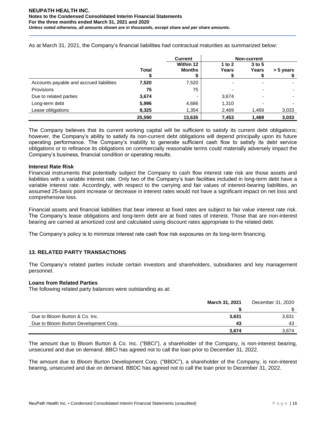|                                          |              | <b>Current</b>             | <b>Non-current</b> |                     |           |
|------------------------------------------|--------------|----------------------------|--------------------|---------------------|-----------|
|                                          | <b>Total</b> | Within 12<br><b>Months</b> | 1 to $2$<br>Years  | $3$ to $5$<br>Years | > 5 years |
| Accounts payable and accrued liabilities | 7,520        | 7,520                      |                    |                     |           |
| Provisions                               | 75           | 75                         |                    | -                   |           |
| Due to related parties                   | 3,674        | -                          | 3,674              | ۰                   |           |
| Long-term debt                           | 5,996        | 4,686                      | 1,310              | -                   |           |
| Lease obligations                        | 8,325        | 1,354                      | 2,469              | 1,469               | 3,033     |
|                                          | 25,590       | 13,635                     | 7,453              | 1,469               | 3,033     |

As at March 31, 2021, the Company's financial liabilities had contractual maturities as summarized below:

The Company believes that its current working capital will be sufficient to satisfy its current debt obligations; however, the Company's ability to satisfy its non-current debt obligations will depend principally upon its future operating performance. The Company's inability to generate sufficient cash flow to satisfy its debt service obligations or to refinance its obligations on commercially reasonable terms could materially adversely impact the Company's business, financial condition or operating results.

## **Interest Rate Risk**

Financial instruments that potentially subject the Company to cash flow interest rate risk are those assets and liabilities with a variable interest rate. Only two of the Company's loan facilities included in long-term debt have a variable interest rate. Accordingly, with respect to the carrying and fair values of interest-bearing liabilities, an assumed 25-basis point increase or decrease in interest rates would not have a significant impact on net loss and comprehensive loss.

Financial assets and financial liabilities that bear interest at fixed rates are subject to fair value interest rate risk. The Company's lease obligations and long-term debt are at fixed rates of interest. Those that are non-interest bearing are carried at amortized cost and calculated using discount rates appropriate to the related debt.

The Company's policy is to minimize interest rate cash flow risk exposures on its long-term financing.

# **13. RELATED PARTY TRANSACTIONS**

The Company's related parties include certain investors and shareholders, subsidiaries and key management personnel.

### **Loans from Related Parties**

The following related party balances were outstanding as at:

|                                       | <b>March 31, 2021</b><br>December 31, 2020 |       |
|---------------------------------------|--------------------------------------------|-------|
|                                       |                                            |       |
| Due to Bloom Burton & Co. Inc.        | 3,631                                      | 3,631 |
| Due to Bloom Burton Development Corp. | 43                                         | 43    |
|                                       | 3.674                                      | 3.674 |

The amount due to Bloom Burton & Co. Inc. ("BBCI"), a shareholder of the Company, is non-interest bearing, unsecured and due on demand. BBCI has agreed not to call the loan prior to December 31, 2022.

The amount due to Bloom Burton Development Corp. ("BBDC"), a shareholder of the Company, is non-interest bearing, unsecured and due on demand. BBDC has agreed not to call the loan prior to December 31, 2022.